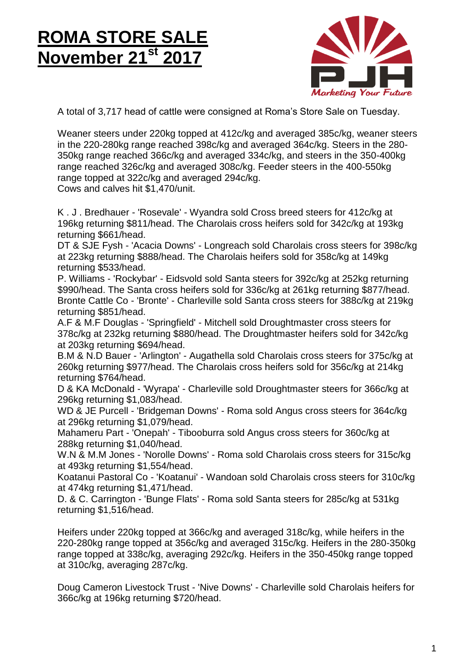## <u>ROMA STORE SALE</u> **November 21st 2017 ROMA STORE SALE November 21st 2017**



A total of 3,717 head of cattle were consigned at Roma's Store Sale on Tuesday.

Weaner steers under 220kg topped at 412c/kg and averaged 385c/kg, weaner steers in the 220-280kg range reached 398c/kg and averaged 364c/kg. Steers in the 280- 350kg range reached 366c/kg and averaged 334c/kg, and steers in the 350-400kg range reached 326c/kg and averaged 308c/kg. Feeder steers in the 400-550kg range topped at 322c/kg and averaged 294c/kg. Cows and calves hit \$1,470/unit.

K . J . Bredhauer - 'Rosevale' - Wyandra sold Cross breed steers for 412c/kg at 196kg returning \$811/head. The Charolais cross heifers sold for 342c/kg at 193kg returning \$661/head.

DT & SJE Fysh - 'Acacia Downs' - Longreach sold Charolais cross steers for 398c/kg at 223kg returning \$888/head. The Charolais heifers sold for 358c/kg at 149kg returning \$533/head.

P. Williams - 'Rockybar' - Eidsvold sold Santa steers for 392c/kg at 252kg returning \$990/head. The Santa cross heifers sold for 336c/kg at 261kg returning \$877/head. Bronte Cattle Co - 'Bronte' - Charleville sold Santa cross steers for 388c/kg at 219kg returning \$851/head.

A.F & M.F Douglas - 'Springfield' - Mitchell sold Droughtmaster cross steers for 378c/kg at 232kg returning \$880/head. The Droughtmaster heifers sold for 342c/kg at 203kg returning \$694/head.

B.M & N.D Bauer - 'Arlington' - Augathella sold Charolais cross steers for 375c/kg at 260kg returning \$977/head. The Charolais cross heifers sold for 356c/kg at 214kg returning \$764/head.

D & KA McDonald - 'Wyrapa' - Charleville sold Droughtmaster steers for 366c/kg at 296kg returning \$1,083/head.

WD & JE Purcell - 'Bridgeman Downs' - Roma sold Angus cross steers for 364c/kg at 296kg returning \$1,079/head.

Mahameru Part - 'Onepah' - Tibooburra sold Angus cross steers for 360c/kg at 288kg returning \$1,040/head.

W.N & M.M Jones - 'Norolle Downs' - Roma sold Charolais cross steers for 315c/kg at 493kg returning \$1,554/head.

Koatanui Pastoral Co - 'Koatanui' - Wandoan sold Charolais cross steers for 310c/kg at 474kg returning \$1,471/head.

D. & C. Carrington - 'Bunge Flats' - Roma sold Santa steers for 285c/kg at 531kg returning \$1,516/head.

Heifers under 220kg topped at 366c/kg and averaged 318c/kg, while heifers in the 220-280kg range topped at 356c/kg and averaged 315c/kg. Heifers in the 280-350kg range topped at 338c/kg, averaging 292c/kg. Heifers in the 350-450kg range topped at 310c/kg, averaging 287c/kg.

Doug Cameron Livestock Trust - 'Nive Downs' - Charleville sold Charolais heifers for 366c/kg at 196kg returning \$720/head.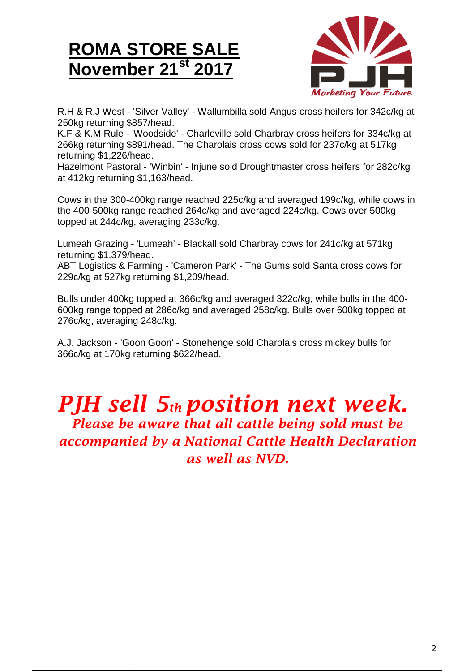## **ROMA STORE SALE November 21st 2017**



R.H & R.J West - 'Silver Valley' - Wallumbilla sold Angus cross heifers for 342c/kg at 250kg returning \$857/head.

K.F & K.M Rule - 'Woodside' - Charleville sold Charbray cross heifers for 334c/kg at 266kg returning \$891/head. The Charolais cross cows sold for 237c/kg at 517kg returning \$1,226/head.

Hazelmont Pastoral - 'Winbin' - Injune sold Droughtmaster cross heifers for 282c/kg at 412kg returning \$1,163/head.

Cows in the 300-400kg range reached 225c/kg and averaged 199c/kg, while cows in the 400-500kg range reached 264c/kg and averaged 224c/kg. Cows over 500kg topped at 244c/kg, averaging 233c/kg.

Lumeah Grazing - 'Lumeah' - Blackall sold Charbray cows for 241c/kg at 571kg returning \$1,379/head.

ABT Logistics & Farming - 'Cameron Park' - The Gums sold Santa cross cows for 229c/kg at 527kg returning \$1,209/head.

Bulls under 400kg topped at 366c/kg and averaged 322c/kg, while bulls in the 400- 600kg range topped at 286c/kg and averaged 258c/kg. Bulls over 600kg topped at 276c/kg, averaging 248c/kg.

A.J. Jackson - 'Goon Goon' - Stonehenge sold Charolais cross mickey bulls for 366c/kg at 170kg returning \$622/head.

## *PJH sell 5th position next week. Please be aware that all cattle being sold must be*

*accompanied by a National Cattle Health Declaration as well as NVD.*